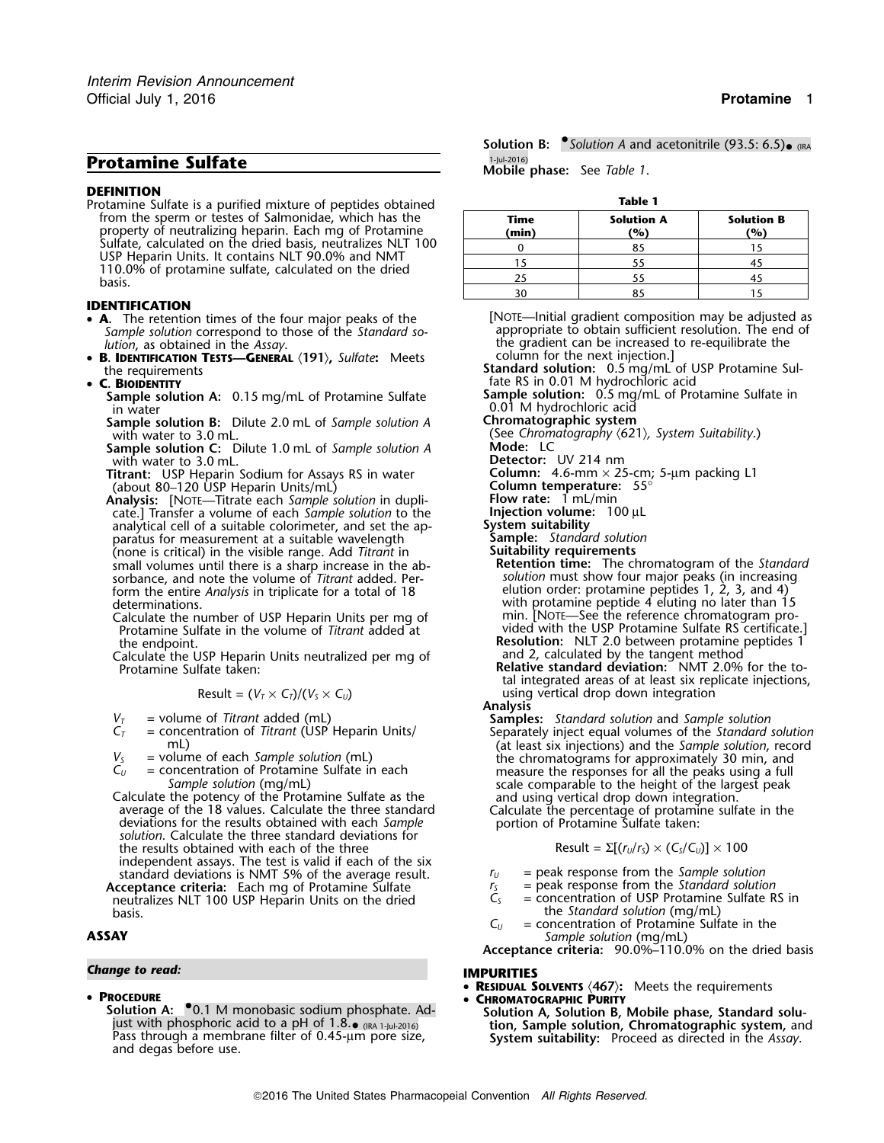# **Protamine Sulfate Protamine Sulfate Mobile phase:** See *Table 1*.

## **DEFINITION**

**Table 1** Protamine Sulfate is a purified mixture of peptides obtained from the sperm or testes of Salmonidae, which has the property of neutralizing heparin. Each mg of Protamine<br>Sulfate, calculated on the dried basis, neutralizes NLT 100 USP Heparin Units. It contains NLT 90.0% and NMT<br>110.0% of protamine sulfate, calculated on the dried<br>basis.

## **IDENTIFICATION**

- **<sup>A</sup>.** The retention times of the four major peaks of the [NOTE—Initial gradient composition may be adjusted as Sample solution correspond to those of the *Standard so-* appropriate to obtain sufficient resolution. The end of
- •**B. IDENTIFICATION TESTS—GENERAL**  $\langle 191 \rangle$ , *Sulfate*: Meets the requirements

## • C. BIOIDENTITY

- **Sample solution A:** 0.15 mg/mL of Protamine Sulfate in water
- **Sample solution B:** Dilute 2.0 mL of *Sample solution A* **Chromatographic system**
- **Sample solution C:** Dilute 1.0 mL of *Sample solution A*
- with water to 3.0 mL.<br> **Titrant:** USP Heparin Sodium for Assays RS in water **Detector:** UV 214 nm<br>
(about 80–120 USP Heparin Units/mL) **Column temperature:** 55° **Titrant:** USP Heparin Sodium for Assays RS in water (about 80–120 USP Heparin Units/mL) **Column temperature:** 55°
- **Analysis:** [NOTE—Titrate each *Sample solution* in dupli- **Flow rate:**<sup>1</sup> mL/min cate.] Transfer a volume of each *Sample solution* to the **Injection volume:** 100 µL analytical cell of a suitable colorimeter, and set the ap-<br>**Interval** analytical cell of a suitable colorimeter, and set the ap- **System suitability** paratus for measurement at a suitable wavelength **Sample:** *Standard solution* (none is critical) in the visible range. Add *Titrant* in **Suitability requirements** (none is critical) in the visible range. Add *Titrant* in small volumes until there is a sharp increase in the ab- **Retention time:** The chromatogram of the *Standard* sorbance, and note the volume of *Titrant* added. Per-<br>form the entire *Analysis* in triplicate for a total of 18 elution order: protamine peptides 1, 2, 3, and 4) form the entire *Analysis* in triplicate for a total of 18
	- Calculate the number of USP Heparin Units per mg of
	- Calculate the USP Heparin Units neutralized per mg of Protamine Sulfate taken:

$$
Result = (V_T \times C_T)/(V_S \times C_U)
$$

- 
- 
- 
- 

average of the 18 values. Calculate the three standard Calculate the percentage of protamin deviations for the results obtained with each Sample solution. Calculate the three standard deviations for solution. Calculate the  $t$  the results obtained with each of the three independent assays. The test is valid if each of the six standard deviations is NMT 5% of the average result.  $r_U =$  peak response from the *Sample solution*<br>cceptance criteria: Each mg of Protamine Sulfate  $r_S =$  peak response from the *Standard solution* **Acceptance criteria:** Each mg of Protamine Sulfate *<sup>r</sup><sup>S</sup>* = peak response from the *Standard solution* neutralizes NLT 100 USP Heparin Units on the dried

## • **PROCEDURE** •

**Solution A:** •0.1 M monobasic sodium phosphate. Ad-<br>just with phosphoric acid to a pH of 1.8.• (IRA 1-Jul-2016) **Solution A, Solution B, Mobile phase, Standard solu-**<br>Pass through a membrane filter of 0.45-µm pore size, Pass through a membrane filter of 0.45-µm pore size, **System suitability:** Proceed as directed in the *Assay*. and degas before use.

**Solution B:** • *Solution A* and acetonitrile (93.5: 6.5)• (IRA

| Table T       |                          |                                     |
|---------------|--------------------------|-------------------------------------|
| Time<br>(min) | <b>Solution A</b><br>(%) | <b>Solution B</b><br>$\frac{10}{6}$ |
|               | 85                       |                                     |
|               | 55                       |                                     |
| 25            | 55                       |                                     |
|               | o.,                      |                                     |

- *lution*, as obtained in the *Assay*.<br>**B. IDENTIFICATION TESTS—GENERAL** (191), Sulfate: Meets column for the next injection.] **Standard solution:** 0.5 mg/mL of USP Protamine Sul
	- fate RS in 0.01 M hydrochloric acid<br>**Sample solution:** 0.5 mg/mL of Protamine Sulfate in

0.01 M hydrochloric acid

with water to 3.0 mL.<br> **Sample solution C:** Dilute 1.0 mL of *Sample solution A* Mode: LC

- 
- 
- determinations.<br>
determinations.<br>
Calculate the number of USP Heparin Units per mg of min. [NOTE—See the reference chromatogram pro-Protamine Sulfate in the volume of *Titrant* added at vided with the USP Protamine Sulfate RS certificate.] the endpoint. **Resolution:** NLT 2.0 between protamine peptides 1 and 2, calculated by the tangent method<br>**Relative standard deviation:** NMT 2.0% for the to-

tal integrated areas of at least six replicate injections,  $u$ sing vertical drop down integration

 $V_T$  = volume of *Titrant* added (mL)<br> $C_T$  = concentration of *Titrant* (USP Heparin Units/<br> $C_T$  = concentration of *Titrant* (USP Heparin Units/<br>mL) (at least six injections) and the *Sample solution*, record mL) (at least six injections) and the *Sample solution*, record  $V_5$  = volume of each *Sample solution* (mL) the chromatograms for approximately 30 min, and  $C_U$  = concentration of Protamine Sulfate in each *Sample solution* (mg/mL) scale comparable to the height of the largest peak

$$
Result = \Sigma[(r_U/r_S) \times (C_S/C_U)] \times 100
$$

- 
- 
- basis. the *Standard solution* (mg/mL) basis.<br> $C_U$  = concentration of Protamine Sulf
- $=$  concentration of Protamine Sulfate in the **ASSAY** *Sample solution* (mg/mL)
	- **Acceptance criteria:** 90.0%–110.0% on the dried basis

## *Change to read:* **IMPURITIES**

- •**RESIDUAL SOLVENTS** 〈**467**〉**:** Meets the requirements
- **CHROMATOGRAPHIC PURITY**
	- tion, Sample solution, Chromatographic system, and